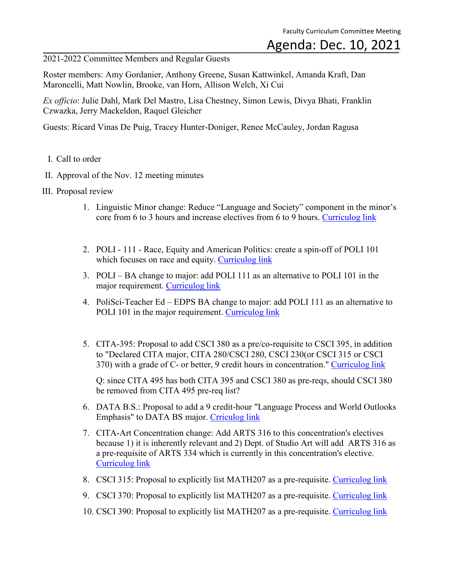## Agenda: Dec. 10, 2021

2021-2022 Committee Members and Regular Guests

Roster members: Amy Gordanier, Anthony Greene, Susan Kattwinkel, Amanda Kraft, Dan Maroncelli, Matt Nowlin, Brooke, van Horn, Allison Welch, Xi Cui

*Ex officio*: Julie Dahl, Mark Del Mastro, Lisa Chestney, Simon Lewis, Divya Bhati, Franklin Czwazka, Jerry Mackeldon, Raquel Gleicher

Guests: Ricard Vinas De Puig, Tracey Hunter-Doniger, Renee McCauley, Jordan Ragusa

- I. Call to order
- II. Approval of the Nov. 12 meeting minutes
- III. Proposal review
	- 1. Linguistic Minor change: Reduce "Language and Society" component in the minor's core from 6 to 3 hours and increase electives from 6 to 9 hours. [Curriculog link](https://cofc.curriculog.com/proposal:3596/form)
	- 2. POLI 111 Race, Equity and American Politics: create a spin-off of POLI 101 which focuses on race and equity. [Curriculog link](https://cofc.curriculog.com/proposal:3628/form)
	- 3. POLI BA change to major: add POLI 111 as an alternative to POLI 101 in the major requirement. [Curriculog link](https://cofc.curriculog.com/proposal:3632/form)
	- 4. PoliSci-Teacher Ed EDPS BA change to major: add POLI 111 as an alternative to POLI 101 in the major requirement. [Curriculog link](https://cofc.curriculog.com/proposal:3665/form)
	- 5. CITA-395: Proposal to add CSCI 380 as a pre/co-requisite to CSCI 395, in addition to "Declared CITA major, CITA 280/CSCI 280, CSCI 230(or CSCI 315 or CSCI 370) with a grade of C- or better, 9 credit hours in concentration." [Curriculog link](https://cofc.curriculog.com/proposal:3619/form)

Q: since CITA 495 has both CITA 395 and CSCI 380 as pre-reqs, should CSCI 380 be removed from CITA 495 pre-req list?

- 6. DATA B.S.: Proposal to add a 9 credit-hour "Language Process and World Outlooks Emphasis" to DATA BS major. [Crriculog link](https://cofc.curriculog.com/proposal:3560/form)
- 7. CITA-Art Concentration change: Add ARTS 316 to this concentration's electives because 1) it is inherently relevant and 2) Dept. of Studio Art will add ARTS 316 as a pre-requisite of ARTS 334 which is currently in this concentration's elective. [Curriculog link](https://cofc.curriculog.com/proposal:3674/form)
- 8. CSCI 315: Proposal to explicitly list MATH207 as a pre-requisite. [Curriculog link](https://cofc.curriculog.com/proposal:3613/form)
- 9. CSCI 370: Proposal to explicitly list MATH207 as a pre-requisite. [Curriculog link](https://cofc.curriculog.com/proposal:3614/form)
- 10. CSCI 390: Proposal to explicitly list MATH207 as a pre-requisite. [Curriculog link](https://cofc.curriculog.com/proposal:3618/form)